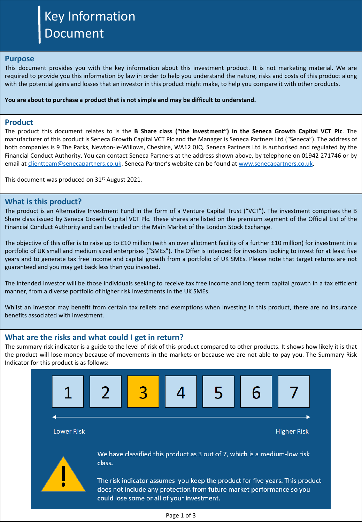# Key Information Document

#### **Purpose**

This document provides you with the key information about this investment product. It is not marketing material. We are required to provide you this information by law in order to help you understand the nature, risks and costs of this product along with the potential gains and losses that an investor in this product might make, to help you compare it with other products.

#### **You are about to purchase a product that is not simple and may be difficult to understand.**

#### **Product**

The product this document relates to is the **B Share class ("the Investment") in the Seneca Growth Capital VCT Plc**. The manufacturer of this product is Seneca Growth Capital VCT Plc and the Manager is Seneca Partners Ltd ("Seneca"). The address of both companies is 9 The Parks, Newton-le-Willows, Cheshire, WA12 0JQ. Seneca Partners Ltd is authorised and regulated by the Financial Conduct Authority. You can contact Seneca Partners at the address shown above, by telephone on 01942 271746 or by email at [clientteam@senecapartners.co.uk](mailto:clientteam@senecapartners.co.uk). Seneca Partner's website can be found at [www.senecapartners.co.uk.](http://www.senecapartners.co.uk/)

This document was produced on 31<sup>st</sup> August 2021.

### **What is this product?**

The product is an Alternative Investment Fund in the form of a Venture Capital Trust ("VCT"). The investment comprises the B Share class issued by Seneca Growth Capital VCT Plc. These shares are listed on the premium segment of the Official List of the Financial Conduct Authority and can be traded on the Main Market of the London Stock Exchange.

The objective of this offer is to raise up to £10 million (with an over allotment facility of a further £10 million) for investment in a portfolio of UK small and medium sized enterprises ("SMEs"). The Offer is intended for investors looking to invest for at least five years and to generate tax free income and capital growth from a portfolio of UK SMEs. Please note that target returns are not guaranteed and you may get back less than you invested.

The intended investor will be those individuals seeking to receive tax free income and long term capital growth in a tax efficient manner, from a diverse portfolio of higher risk investments in the UK SMEs.

Whilst an investor may benefit from certain tax reliefs and exemptions when investing in this product, there are no insurance benefits associated with investment.

## **What are the risks and what could I get in return?**

The summary risk indicator is a guide to the level of risk of this product compared to other products. It shows how likely it is that the product will lose money because of movements in the markets or because we are not able to pay you. The Summary Risk Indicator for this product is as follows:



The risk indicator assumes you keep the product for five years. This product does not include any protection from future market performance so you could lose some or all of your investment.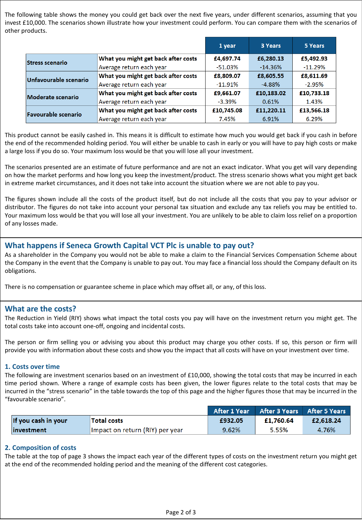The following table shows the money you could get back over the next five years, under different scenarios, assuming that you invest £10,000. The scenarios shown illustrate how your investment could perform. You can compare them with the scenarios of other products.

|                            |                                     | 1 year     | 3 Years    | 5 Years    |
|----------------------------|-------------------------------------|------------|------------|------------|
| <b>Stress scenario</b>     | What you might get back after costs | £4,697.74  | £6,280.13  | £5,492.93  |
|                            | Average return each year            | $-51.03%$  | $-14.36%$  | $-11.29%$  |
| Unfavourable scenario      | What you might get back after costs | £8,809.07  | £8,605.55  | £8,611.69  |
|                            | Average return each year            | $-11.91%$  | $-4.88%$   | $-2.95%$   |
| Moderate scenario          | What you might get back after costs | £9,661.07  | £10,183.02 | £10,733.18 |
|                            | Average return each year            | $-3.39%$   | 0.61%      | 1.43%      |
| <b>Favourable scenario</b> | What you might get back after costs | £10,745.08 | £11,220.11 | £13,566.18 |
|                            | Average return each year            | 7.45%      | 6.91%      | 6.29%      |

This product cannot be easily cashed in. This means it is difficult to estimate how much you would get back if you cash in before the end of the recommended holding period. You will either be unable to cash in early or you will have to pay high costs or make a large loss if you do so. Your maximum loss would be that you will lose all your investment.

The scenarios presented are an estimate of future performance and are not an exact indicator. What you get will vary depending on how the market performs and how long you keep the investment/product. The stress scenario shows what you might get back in extreme market circumstances, and it does not take into account the situation where we are not able to pay you.

The figures shown include all the costs of the product itself, but do not include all the costs that you pay to your advisor or distributor. The figures do not take into account your personal tax situation and exclude any tax reliefs you may be entitled to. Your maximum loss would be that you will lose all your investment. You are unlikely to be able to claim loss relief on a proportion of any losses made.

# **What happens if Seneca Growth Capital VCT Plc is unable to pay out?**

As a shareholder in the Company you would not be able to make a claim to the Financial Services Compensation Scheme about the Company in the event that the Company is unable to pay out. You may face a financial loss should the Company default on its obligations.

There is no compensation or guarantee scheme in place which may offset all, or any, of this loss.

## **What are the costs?**

The Reduction in Yield (RIY) shows what impact the total costs you pay will have on the investment return you might get. The total costs take into account one-off, ongoing and incidental costs.

The person or firm selling you or advising you about this product may charge you other costs. If so, this person or firm will provide you with information about these costs and show you the impact that all costs will have on your investment over time.

#### **1. Costs over time**

The following are investment scenarios based on an investment of £10,000, showing the total costs that may be incurred in each time period shown. Where a range of example costs has been given, the lower figures relate to the total costs that may be incurred in the "stress scenario" in the table towards the top of this page and the higher figures those that may be incurred in the "favourable scenario".

|                     |                                 |         | After 1 Year After 3 Years After 5 Years |           |
|---------------------|---------------------------------|---------|------------------------------------------|-----------|
| If you cash in your | Total costs                     | £932.05 | £1.760.64                                | £2,618.24 |
| investment          | Impact on return (RIY) per year | 9.62%   | 5.55%                                    | 4.76%     |

#### **2. Composition of costs**

The table at the top of page 3 shows the impact each year of the different types of costs on the investment return you might get at the end of the recommended holding period and the meaning of the different cost categories.